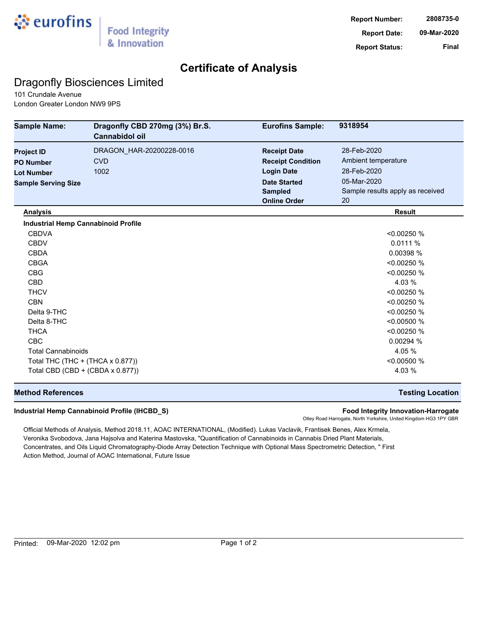

## **Certificate of Analysis**

## Dragonfly Biosciences Limited

101 Crundale Avenue London Greater London NW9 9PS

| <b>Sample Name:</b>                        | Dragonfly CBD 270mg (3%) Br.S.<br>Cannabidol oil | <b>Eurofins Sample:</b>  | 9318954                          |
|--------------------------------------------|--------------------------------------------------|--------------------------|----------------------------------|
| <b>Project ID</b>                          | DRAGON_HAR-20200228-0016                         | <b>Receipt Date</b>      | 28-Feb-2020                      |
| <b>PO Number</b>                           | <b>CVD</b>                                       | <b>Receipt Condition</b> | Ambient temperature              |
| <b>Lot Number</b>                          | 1002                                             | <b>Login Date</b>        | 28-Feb-2020                      |
| <b>Sample Serving Size</b>                 |                                                  | <b>Date Started</b>      | 05-Mar-2020                      |
|                                            |                                                  | <b>Sampled</b>           | Sample results apply as received |
|                                            |                                                  | <b>Online Order</b>      | 20                               |
| <b>Analysis</b>                            |                                                  |                          | <b>Result</b>                    |
| <b>Industrial Hemp Cannabinoid Profile</b> |                                                  |                          |                                  |
| <b>CBDVA</b>                               |                                                  |                          | < 0.00250 %                      |
| <b>CBDV</b>                                |                                                  |                          | 0.0111%                          |
| <b>CBDA</b>                                |                                                  |                          | 0.00398 %                        |
| <b>CBGA</b>                                |                                                  |                          | < 0.00250 %                      |
| <b>CBG</b>                                 |                                                  |                          | < 0.00250 %                      |
| <b>CBD</b>                                 |                                                  |                          | 4.03 %                           |
| <b>THCV</b>                                |                                                  |                          | < 0.00250 %                      |
| <b>CBN</b>                                 |                                                  |                          | < 0.00250 %                      |
| Delta 9-THC                                |                                                  |                          | < 0.00250 %                      |
| Delta 8-THC                                |                                                  |                          | < 0.00500 %                      |
| <b>THCA</b>                                |                                                  |                          | < 0.00250 %                      |
| <b>CBC</b>                                 |                                                  |                          | 0.00294 %                        |
| <b>Total Cannabinoids</b>                  |                                                  |                          | 4.05 %                           |
| Total THC (THC + (THCA x 0.877))           |                                                  |                          | < 0.00500 %                      |
| Total CBD (CBD + (CBDA x 0.877))           |                                                  |                          | 4.03 %                           |

### **Method References Testing Location**

#### **Industrial Hemp Cannabinoid Profile (IHCBD\_S) Food Integrity Innovation-Harrogate**

Otley Road Harrogate, North Yorkshire, United Kingdom HG3 1PY GBR

Official Methods of Analysis, Method 2018.11, AOAC INTERNATIONAL, (Modified). Lukas Vaclavik, Frantisek Benes, Alex Krmela, Veronika Svobodova, Jana Hajsolva and Katerina Mastovska, "Quantification of Cannabinoids in Cannabis Dried Plant Materials, Concentrates, and Oils Liquid Chromatography-Diode Array Detection Technique with Optional Mass Spectrometric Detection, " First Action Method, Journal of AOAC International, Future Issue